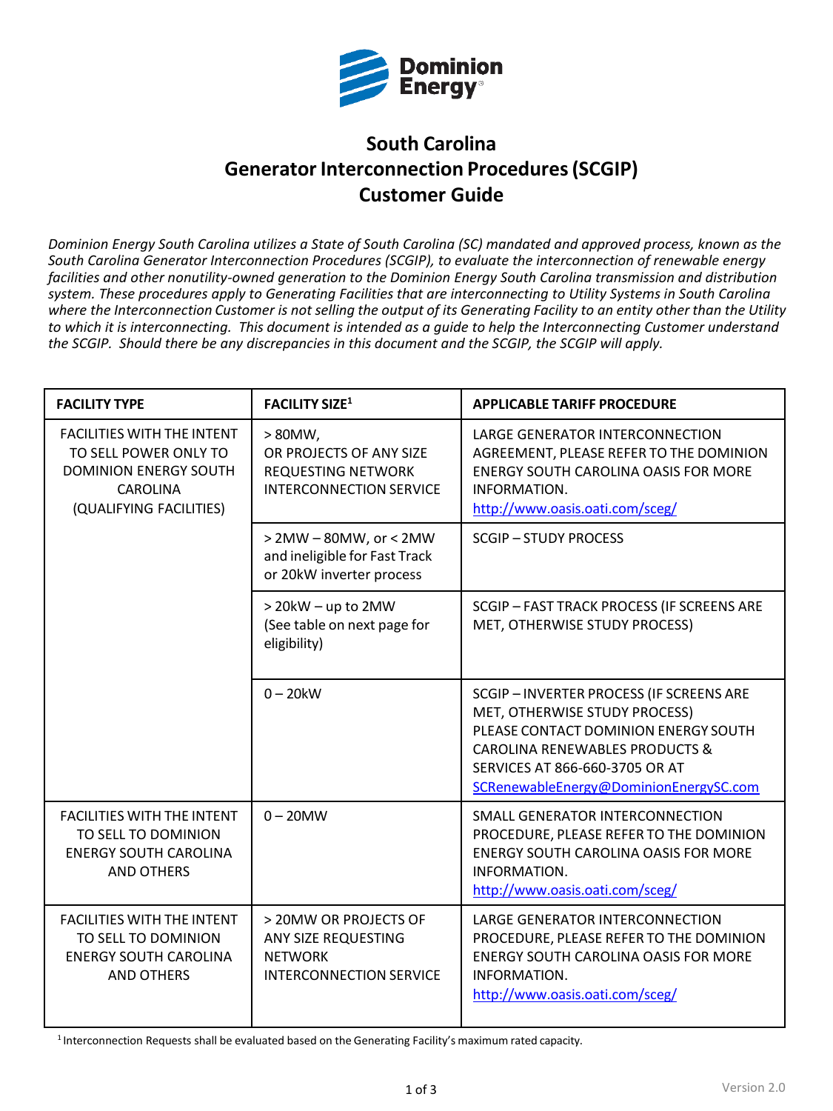

# **South Carolina Generator Interconnection Procedures (SCGIP) Customer Guide**

*Dominion Energy South Carolina utilizes a State of South Carolina (SC) mandated and approved process, known as the South Carolina Generator Interconnection Procedures (SCGIP), to evaluate the interconnection of renewable energy facilities and other nonutility-owned generation to the Dominion Energy South Carolina transmission and distribution system. These procedures apply to Generating Facilities that are interconnecting to Utility Systems in South Carolina*  where the Interconnection Customer is not selling the output of its Generating Facility to an entity other than the Utility *to which it is interconnecting. This document is intended as a guide to help the Interconnecting Customer understand the SCGIP. Should there be any discrepancies in this document and the SCGIP, the SCGIP will apply.*

| <b>FACILITY TYPE</b>                                                                                                                     | <b>FACILITY SIZE1</b>                                                                                | <b>APPLICABLE TARIFF PROCEDURE</b>                                                                                                                                                                                                       |
|------------------------------------------------------------------------------------------------------------------------------------------|------------------------------------------------------------------------------------------------------|------------------------------------------------------------------------------------------------------------------------------------------------------------------------------------------------------------------------------------------|
| <b>FACILITIES WITH THE INTENT</b><br>TO SELL POWER ONLY TO<br><b>DOMINION ENERGY SOUTH</b><br><b>CAROLINA</b><br>(QUALIFYING FACILITIES) | $> 80MW$ ,<br>OR PROJECTS OF ANY SIZE<br><b>REQUESTING NETWORK</b><br><b>INTERCONNECTION SERVICE</b> | LARGE GENERATOR INTERCONNECTION<br>AGREEMENT, PLEASE REFER TO THE DOMINION<br>ENERGY SOUTH CAROLINA OASIS FOR MORE<br>INFORMATION.<br>http://www.oasis.oati.com/sceg/                                                                    |
|                                                                                                                                          | > 2MW - 80MW, or < 2MW<br>and ineligible for Fast Track<br>or 20kW inverter process                  | <b>SCGIP-STUDY PROCESS</b>                                                                                                                                                                                                               |
|                                                                                                                                          | > 20kW - up to 2MW<br>(See table on next page for<br>eligibility)                                    | SCGIP - FAST TRACK PROCESS (IF SCREENS ARE<br>MET, OTHERWISE STUDY PROCESS)                                                                                                                                                              |
|                                                                                                                                          | $0 - 20$ kW                                                                                          | SCGIP-INVERTER PROCESS (IF SCREENS ARE<br>MET, OTHERWISE STUDY PROCESS)<br>PLEASE CONTACT DOMINION ENERGY SOUTH<br><b>CAROLINA RENEWABLES PRODUCTS &amp;</b><br>SERVICES AT 866-660-3705 OR AT<br>SCRenewableEnergy@DominionEnergySC.com |
| <b>FACILITIES WITH THE INTENT</b><br>TO SELL TO DOMINION<br><b>ENERGY SOUTH CAROLINA</b><br><b>AND OTHERS</b>                            | $0 - 20$ MW                                                                                          | SMALL GENERATOR INTERCONNECTION<br>PROCEDURE, PLEASE REFER TO THE DOMINION<br><b>ENERGY SOUTH CAROLINA OASIS FOR MORE</b><br>INFORMATION.<br>http://www.oasis.oati.com/sceg/                                                             |
| <b>FACILITIES WITH THE INTENT</b><br>TO SELL TO DOMINION<br><b>ENERGY SOUTH CAROLINA</b><br><b>AND OTHERS</b>                            | > 20MW OR PROJECTS OF<br>ANY SIZE REQUESTING<br><b>NETWORK</b><br><b>INTERCONNECTION SERVICE</b>     | LARGE GENERATOR INTERCONNECTION<br>PROCEDURE, PLEASE REFER TO THE DOMINION<br><b>ENERGY SOUTH CAROLINA OASIS FOR MORE</b><br>INFORMATION.<br>http://www.oasis.oati.com/sceg/                                                             |

1 Interconnection Requests shall be evaluated based on the Generating Facility's maximum rated capacity.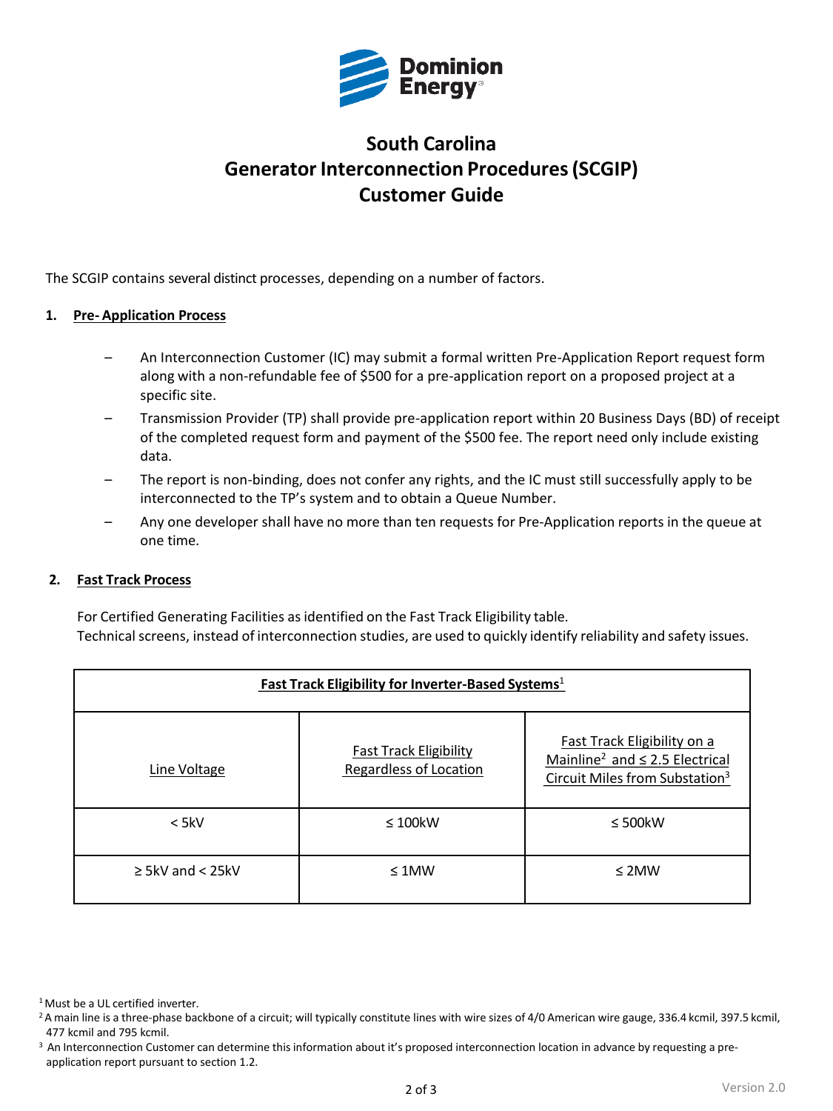

# **South Carolina Generator Interconnection Procedures (SCGIP) Customer Guide**

The SCGIP contains several distinct processes, depending on a number of factors.

### **1. Pre- Application Process**

- An Interconnection Customer (IC) may submit a formal written Pre-Application Report request form along with a non-refundable fee of \$500 for a pre-application report on a proposed project at a specific site.
- Transmission Provider (TP) shall provide pre-application report within 20 Business Days (BD) of receipt of the completed request form and payment of the \$500 fee. The report need only include existing data.
- The report is non-binding, does not confer any rights, and the IC must still successfully apply to be interconnected to the TP's system and to obtain a Queue Number.
- Any one developer shall have no more than ten requests for Pre-Application reports in the queue at one time.

#### **2. Fast Track Process**

For Certified Generating Facilities asidentified on the Fast Track Eligibility table. Technical screens, instead of interconnection studies, are used to quickly identify reliability and safety issues.

| Fast Track Eligibility for Inverter-Based Systems <sup>1</sup> |                                                                |                                                                                                                              |  |
|----------------------------------------------------------------|----------------------------------------------------------------|------------------------------------------------------------------------------------------------------------------------------|--|
| Line Voltage                                                   | <b>Fast Track Eligibility</b><br><b>Regardless of Location</b> | Fast Track Eligibility on a<br>Mainline <sup>2</sup> and $\leq$ 2.5 Electrical<br>Circuit Miles from Substation <sup>3</sup> |  |
| $<$ 5kV                                                        | $\leq 100$ kW                                                  | $\leq$ 500 kW                                                                                                                |  |
| $\geq$ 5kV and < 25kV                                          | $\leq 1$ MW                                                    | $\leq$ 2MW                                                                                                                   |  |

<sup>&</sup>lt;sup>1</sup> Must be a UL certified inverter.

<sup>&</sup>lt;sup>2</sup>A main line is a three-phase backbone of a circuit; will typically constitute lines with wire sizes of 4/0 American wire gauge, 336.4 kcmil, 397.5 kcmil, 477 kcmil and 795 kcmil.

<sup>&</sup>lt;sup>3</sup> An Interconnection Customer can determine this information about it's proposed interconnection location in advance by requesting a preapplication report pursuant to section 1.2.